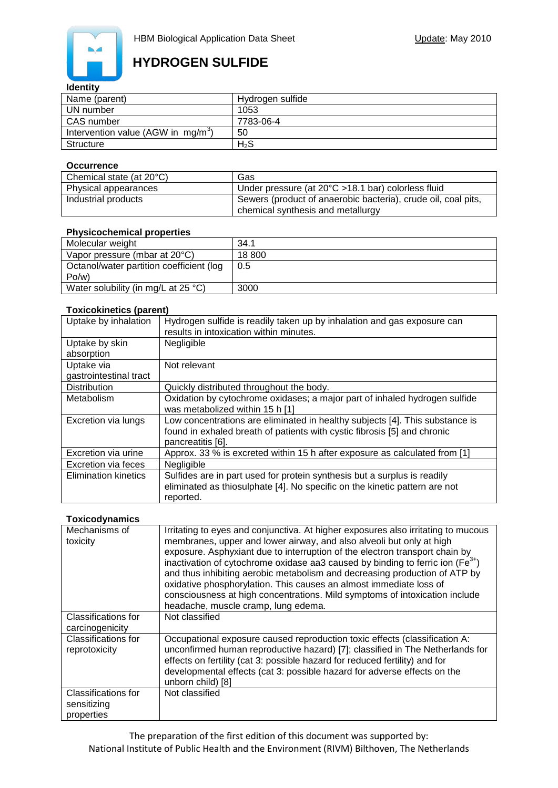

# **HYDROGEN SULFIDE**

#### **Identity**

| Name (parent)                         | Hydrogen sulfide |
|---------------------------------------|------------------|
| UN number                             | 1053             |
| CAS number                            | 7783-06-4        |
| Intervention value (AGW in $mg/m^3$ ) | 50               |
| Structure                             | $H_2S$           |

#### **Occurrence**

| Chemical state (at $20^{\circ}$ C) | Gas                                                           |
|------------------------------------|---------------------------------------------------------------|
| Physical appearances               | Under pressure (at 20°C >18.1 bar) colorless fluid            |
| Industrial products                | Sewers (product of anaerobic bacteria), crude oil, coal pits, |
|                                    | chemical synthesis and metallurgy                             |

### **Physicochemical properties**

| 34.1   |
|--------|
| 18 800 |
| 0.5    |
|        |
| 3000   |
|        |

### **Toxicokinetics (parent)**

| Uptake by inhalation        | Hydrogen sulfide is readily taken up by inhalation and gas exposure can      |
|-----------------------------|------------------------------------------------------------------------------|
|                             | results in intoxication within minutes.                                      |
| Uptake by skin              | Negligible                                                                   |
| absorption                  |                                                                              |
| Uptake via                  | Not relevant                                                                 |
| gastrointestinal tract      |                                                                              |
| <b>Distribution</b>         | Quickly distributed throughout the body.                                     |
| Metabolism                  | Oxidation by cytochrome oxidases; a major part of inhaled hydrogen sulfide   |
|                             | was metabolized within 15 h [1]                                              |
| Excretion via lungs         | Low concentrations are eliminated in healthy subjects [4]. This substance is |
|                             | found in exhaled breath of patients with cystic fibrosis [5] and chronic     |
|                             | pancreatitis [6].                                                            |
| Excretion via urine         | Approx. 33 % is excreted within 15 h after exposure as calculated from [1]   |
| Excretion via feces         | Negligible                                                                   |
| <b>Elimination kinetics</b> | Sulfides are in part used for protein synthesis but a surplus is readily     |
|                             | eliminated as thiosulphate [4]. No specific on the kinetic pattern are not   |
|                             | reported.                                                                    |

#### **Toxicodynamics**

| Mechanisms of<br>toxicity                        | Irritating to eyes and conjunctiva. At higher exposures also irritating to mucous<br>membranes, upper and lower airway, and also alveoli but only at high<br>exposure. Asphyxiant due to interruption of the electron transport chain by<br>inactivation of cytochrome oxidase aa3 caused by binding to ferric ion ( $Fe3+$ )<br>and thus inhibiting aerobic metabolism and decreasing production of ATP by<br>oxidative phosphorylation. This causes an almost immediate loss of<br>consciousness at high concentrations. Mild symptoms of intoxication include<br>headache, muscle cramp, lung edema. |
|--------------------------------------------------|---------------------------------------------------------------------------------------------------------------------------------------------------------------------------------------------------------------------------------------------------------------------------------------------------------------------------------------------------------------------------------------------------------------------------------------------------------------------------------------------------------------------------------------------------------------------------------------------------------|
| Classifications for<br>carcinogenicity           | Not classified                                                                                                                                                                                                                                                                                                                                                                                                                                                                                                                                                                                          |
| <b>Classifications for</b><br>reprotoxicity      | Occupational exposure caused reproduction toxic effects (classification A:<br>unconfirmed human reproductive hazard) [7]; classified in The Netherlands for<br>effects on fertility (cat 3: possible hazard for reduced fertility) and for<br>developmental effects (cat 3: possible hazard for adverse effects on the<br>unborn child) [8]                                                                                                                                                                                                                                                             |
| Classifications for<br>sensitizing<br>properties | Not classified                                                                                                                                                                                                                                                                                                                                                                                                                                                                                                                                                                                          |

The preparation of the first edition of this document was supported by: National Institute of Public Health and the Environment (RIVM) Bilthoven, The Netherlands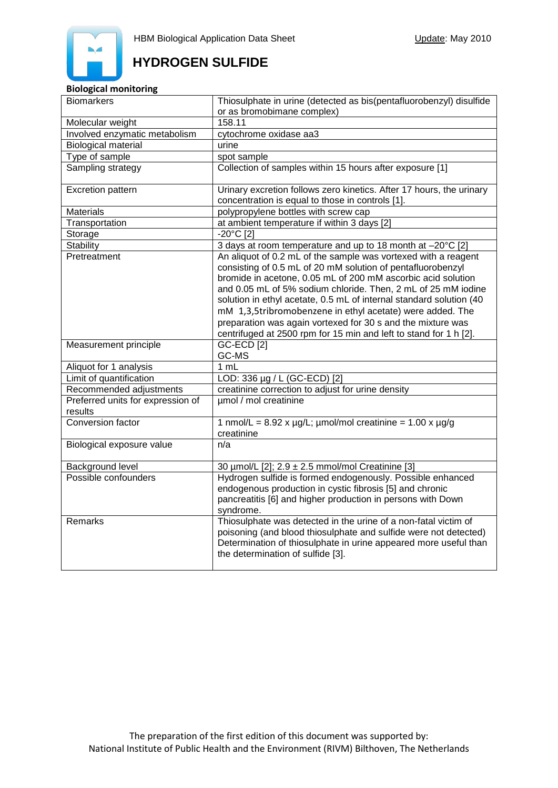# **HYDROGEN SULFIDE**

### **Biological monitoring**

| <b>Biomarkers</b>                            | Thiosulphate in urine (detected as bis(pentafluorobenzyl) disulfide<br>or as bromobimane complex)                                                                                                                                                                                                                                     |
|----------------------------------------------|---------------------------------------------------------------------------------------------------------------------------------------------------------------------------------------------------------------------------------------------------------------------------------------------------------------------------------------|
| Molecular weight                             | 158.11                                                                                                                                                                                                                                                                                                                                |
| Involved enzymatic metabolism                | cytochrome oxidase aa3                                                                                                                                                                                                                                                                                                                |
| <b>Biological material</b>                   | urine                                                                                                                                                                                                                                                                                                                                 |
| Type of sample                               | spot sample                                                                                                                                                                                                                                                                                                                           |
| Sampling strategy                            | Collection of samples within 15 hours after exposure [1]                                                                                                                                                                                                                                                                              |
|                                              |                                                                                                                                                                                                                                                                                                                                       |
| Excretion pattern                            | Urinary excretion follows zero kinetics. After 17 hours, the urinary                                                                                                                                                                                                                                                                  |
|                                              | concentration is equal to those in controls [1].                                                                                                                                                                                                                                                                                      |
| <b>Materials</b>                             | polypropylene bottles with screw cap                                                                                                                                                                                                                                                                                                  |
| Transportation                               | at ambient temperature if within 3 days [2]                                                                                                                                                                                                                                                                                           |
| Storage                                      | -20°C [2]                                                                                                                                                                                                                                                                                                                             |
| <b>Stability</b>                             | 3 days at room temperature and up to 18 month at -20°C [2]                                                                                                                                                                                                                                                                            |
| Pretreatment                                 | An aliquot of 0.2 mL of the sample was vortexed with a reagent<br>consisting of 0.5 mL of 20 mM solution of pentafluorobenzyl<br>bromide in acetone, 0.05 mL of 200 mM ascorbic acid solution<br>and 0.05 mL of 5% sodium chloride. Then, 2 mL of 25 mM iodine<br>solution in ethyl acetate, 0.5 mL of internal standard solution (40 |
|                                              | mM 1,3,5tribromobenzene in ethyl acetate) were added. The<br>preparation was again vortexed for 30 s and the mixture was<br>centrifuged at 2500 rpm for 15 min and left to stand for 1 h [2].                                                                                                                                         |
| Measurement principle                        | <b>GC-ECD [2]</b><br>GC-MS                                                                                                                                                                                                                                                                                                            |
| Aliquot for 1 analysis                       | 1 mL                                                                                                                                                                                                                                                                                                                                  |
| Limit of quantification                      | LOD: 336 µg / L (GC-ECD) [2]                                                                                                                                                                                                                                                                                                          |
| Recommended adjustments                      | creatinine correction to adjust for urine density                                                                                                                                                                                                                                                                                     |
| Preferred units for expression of<br>results | µmol / mol creatinine                                                                                                                                                                                                                                                                                                                 |
| Conversion factor                            | 1 nmol/L = $8.92 \times \mu g/L$ ; $\mu$ mol/mol creatinine = $1.00 \times \mu g/g$<br>creatinine                                                                                                                                                                                                                                     |
| Biological exposure value                    | n/a                                                                                                                                                                                                                                                                                                                                   |
| Background level                             | 30 µmol/L [2]; 2.9 ± 2.5 mmol/mol Creatinine [3]                                                                                                                                                                                                                                                                                      |
| Possible confounders                         | Hydrogen sulfide is formed endogenously. Possible enhanced<br>endogenous production in cystic fibrosis [5] and chronic<br>pancreatitis [6] and higher production in persons with Down<br>syndrome.                                                                                                                                    |
| Remarks                                      | Thiosulphate was detected in the urine of a non-fatal victim of<br>poisoning (and blood thiosulphate and sulfide were not detected)<br>Determination of thiosulphate in urine appeared more useful than<br>the determination of sulfide [3].                                                                                          |